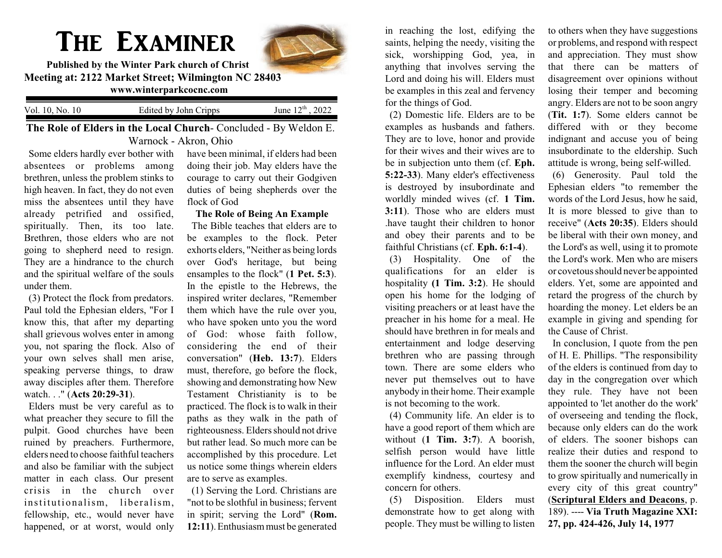# The Examiner



**Published by the Winter Park church of Christ Meeting at: 2122 Market Street; Wilmington NC 28403 www.winterparkcocnc.com** 

Vol. 10, No. 10 Edited by John Cripps  $\mathrm{^{th}}$  , 2022

**The Role of Elders in the Local Church**- Concluded - By Weldon E. Warnock - Akron, Ohio

Some elders hardly ever bother with absentees or problems among brethren, unless the problem stinks to high heaven. In fact, they do not even miss the absentees until they have already petrified and ossified, spiritually. Then, its too late. Brethren, those elders who are not going to shepherd need to resign. They are a hindrance to the church and the spiritual welfare of the souls under them.

(3) Protect the flock from predators. Paul told the Ephesian elders, "For I know this, that after my departing shall grievous wolves enter in among you, not sparing the flock. Also of your own selves shall men arise, speaking perverse things, to draw away disciples after them. Therefore watch. . ." (**Acts 20:29-31**).

Elders must be very careful as to what preacher they secure to fill the pulpit. Good churches have been ruined by preachers. Furthermore, elders need to choose faithful teachers and also be familiar with the subject matter in each class. Our present crisis in the church over institutionalism, liberalism, fellowship, etc., would never have happened, or at worst, would only

have been minimal, if elders had been doing their job. May elders have the courage to carry out their Godgiven duties of being shepherds over the flock of God

**The Role of Being An Example** The Bible teaches that elders are to be examples to the flock. Peter exhorts elders, "Neither as being lords over God's heritage, but being ensamples to the flock" (**1 Pet. 5:3**). In the epistle to the Hebrews, the inspired writer declares, "Remember them which have the rule over you, who have spoken unto you the word of God: whose faith follow, considering the end of their conversation" (**Heb. 13:7**). Elders must, therefore, go before the flock, showing and demonstrating how New Testament Christianity is to be practiced. The flock is to walk in their paths as they walk in the path of righteousness. Elders should not drive but rather lead. So much more can be accomplished by this procedure. Let us notice some things wherein elders are to serve as examples.

(1) Serving the Lord. Christians are "not to be slothful in business; fervent in spirit; serving the Lord" (**Rom. 12:11**). Enthusiasmmust be generated

in reaching the lost, edifying the saints, helping the needy, visiting the sick, worshipping God, yea, in anything that involves serving the Lord and doing his will. Elders must be examples in this zeal and fervency for the things of God.

(2) Domestic life. Elders are to be examples as husbands and fathers. They are to love, honor and provide for their wives and their wives are to be in subjection unto them (cf. **Eph. 5:22-33**). Many elder's effectiveness is destroyed by insubordinate and worldly minded wives (cf. **1 Tim. 3:11**). Those who are elders must .have taught their children to honor and obey their parents and to be faithful Christians (cf. **Eph. 6:1-4**).

(3) Hospitality. One of the qualifications for an elder is hospitality **(1 Tim. 3:2**). He should open his home for the lodging of visiting preachers or at least have the preacher in his home for a meal. He should have brethren in for meals and entertainment and lodge deserving brethren who are passing through town. There are some elders who never put themselves out to have anybody in their home. Their example is not becoming to the work.

(4) Community life. An elder is to have a good report of them which are without (**1 Tim. 3:7**). A boorish, selfish person would have little influence for the Lord. An elder must exemplify kindness, courtesy and concern for others.

(5) Disposition. Elders must demonstrate how to get along with people. They must be willing to listen to others when they have suggestions or problems, and respond with respect and appreciation. They must show that there can be matters of disagreement over opinions without losing their temper and becoming angry. Elders are not to be soon angry (**Tit. 1:7**). Some elders cannot be differed with or they become indignant and accuse you of being insubordinate to the eldership. Such attitude is wrong, being self-willed.

(6) Generosity. Paul told the Ephesian elders "to remember the words of the Lord Jesus, how he said, It is more blessed to give than to receive" (**Acts 20:35**). Elders should be liberal with their own money, and the Lord's as well, using it to promote the Lord's work. Men who are misers or covetous should never be appointed elders. Yet, some are appointed and retard the progress of the church by hoarding the money. Let elders be an example in giving and spending for the Cause of Christ.

In conclusion, I quote from the pen of H. E. Phillips. "The responsibility of the elders is continued from day to day in the congregation over which they rule. They have not been appointed to 'let another do the work' of overseeing and tending the flock, because only elders can do the work of elders. The sooner bishops can realize their duties and respond to them the sooner the church will begin to grow spiritually and numerically in every city of this great country" (**Scriptural Elders and Deacons**, p. 189). ---- **Via Truth Magazine XXI: 27, pp. 424-426, July 14, 1977**